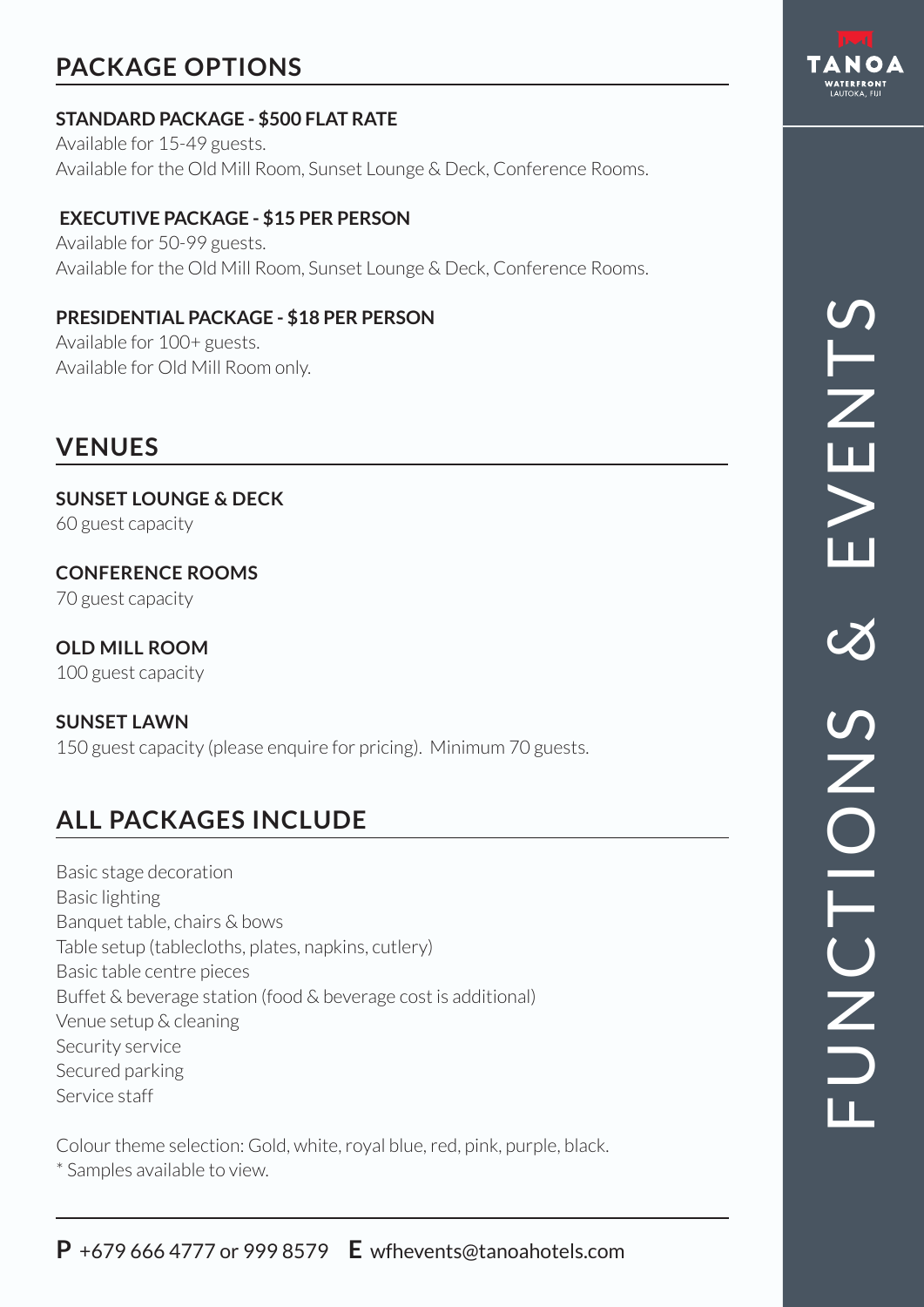# **PACKAGE OPTIONS**

#### **STANDARD PACKAGE - \$500 FLAT RATE**

Available for 15-49 guests. Available for the Old Mill Room, Sunset Lounge & Deck, Conference Rooms.

#### **EXECUTIVE PACKAGE - \$15 PER PERSON**

Available for 50-99 guests. Available for the Old Mill Room, Sunset Lounge & Deck, Conference Rooms.

#### **PRESIDENTIAL PACKAGE - \$18 PER PERSON**

Available for 100+ guests. Available for Old Mill Room only.

## **VENUES**

**SUNSET LOUNGE & DECK** 60 guest capacity

**CONFERENCE ROOMS** 70 guest capacity

**OLD MILL ROOM** 100 guest capacity

#### **SUNSET LAWN**

150 guest capacity (please enquire for pricing). Minimum 70 guests.

# **ALL PACKAGES INCLUDE**

Basic stage decoration Basic lighting Banquet table, chairs & bows Table setup (tablecloths, plates, napkins, cutlery) Basic table centre pieces Buffet & beverage station (food & beverage cost is additional) Venue setup & cleaning Security service Secured parking Service staff

Colour theme selection: Gold, white, royal blue, red, pink, purple, black. \* Samples available to view.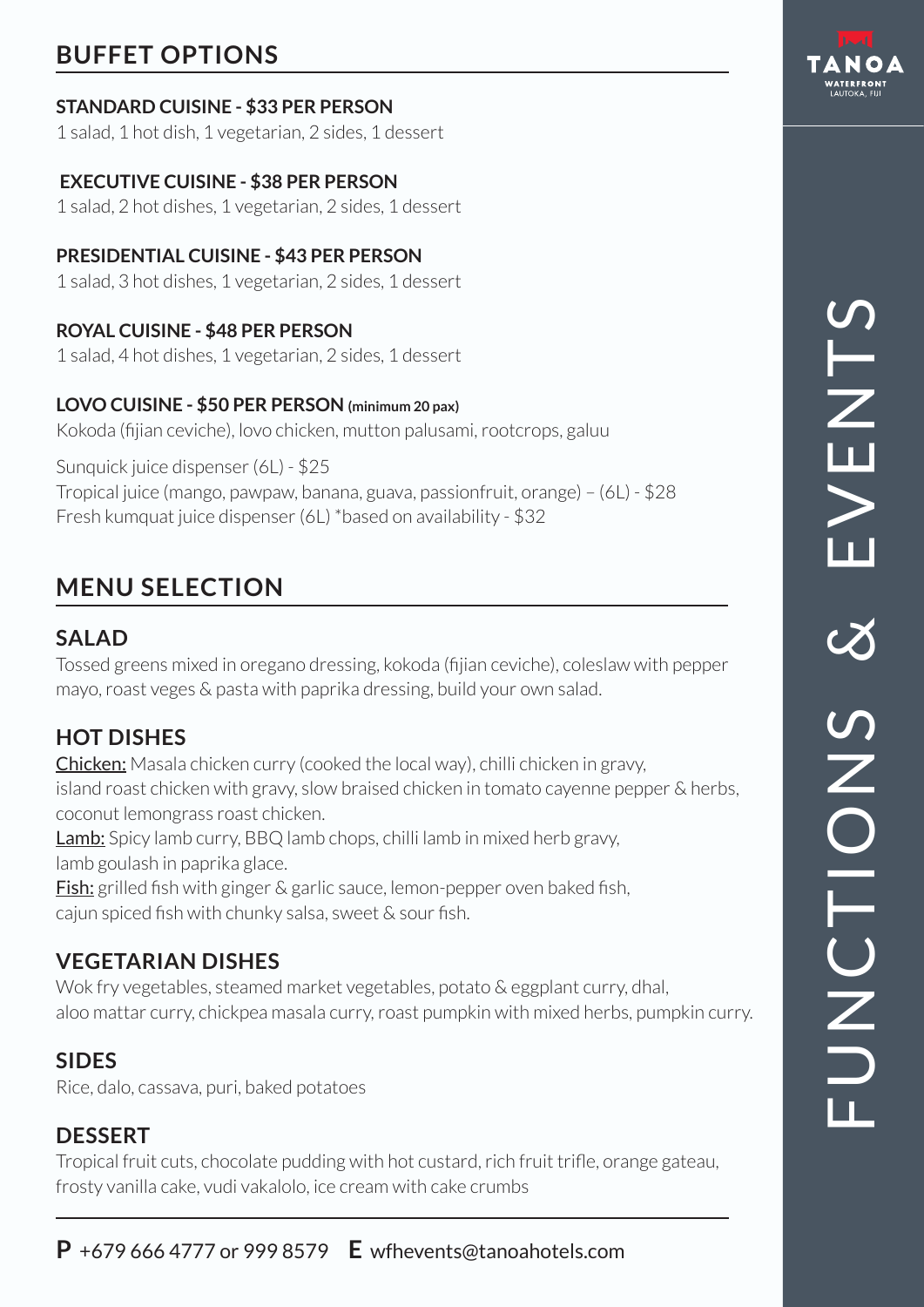# **BUFFET OPTIONS**

#### **STANDARD CUISINE - \$33 PER PERSON**

1 salad, 1 hot dish, 1 vegetarian, 2 sides, 1 dessert

#### **EXECUTIVE CUISINE - \$38 PER PERSON**

1 salad, 2 hot dishes, 1 vegetarian, 2 sides, 1 dessert

#### **PRESIDENTIAL CUISINE - \$43 PER PERSON**

1 salad, 3 hot dishes, 1 vegetarian, 2 sides, 1 dessert

#### **ROYAL CUISINE - \$48 PER PERSON**

1 salad, 4 hot dishes, 1 vegetarian, 2 sides, 1 dessert

#### **LOVO CUISINE - \$50 PER PERSON (minimum 20 pax)**

Kokoda (fijian ceviche), lovo chicken, mutton palusami, rootcrops, galuu

Sunquick juice dispenser (6L) - \$25 Tropical juice (mango, pawpaw, banana, guava, passionfruit, orange) – (6L) - \$28 Fresh kumquat juice dispenser (6L) \*based on availability - \$32

## **MENU SELECTION**

## **SALAD**

Tossed greens mixed in oregano dressing, kokoda (fijian ceviche), coleslaw with pepper mayo, roast veges & pasta with paprika dressing, build your own salad.

## **HOT DISHES**

Chicken: Masala chicken curry (cooked the local way), chilli chicken in gravy, island roast chicken with gravy, slow braised chicken in tomato cayenne pepper & herbs, coconut lemongrass roast chicken.

**Lamb:** Spicy lamb curry, BBQ lamb chops, chilli lamb in mixed herb gravy, lamb goulash in paprika glace.

**Fish:** grilled fish with ginger & garlic sauce, lemon-pepper oven baked fish, cajun spiced fish with chunky salsa, sweet & sour fish.

## **VEGETARIAN DISHES**

Wok fry vegetables, steamed market vegetables, potato & eggplant curry, dhal, aloo mattar curry, chickpea masala curry, roast pumpkin with mixed herbs, pumpkin curry.

## **SIDES**

Rice, dalo, cassava, puri, baked potatoes

## **DESSERT**

Tropical fruit cuts, chocolate pudding with hot custard, rich fruit trifle, orange gateau, frosty vanilla cake, vudi vakalolo, ice cream with cake crumbs



# FUNCTIONS & EVENTS **SHZTS** S SNOIDNED